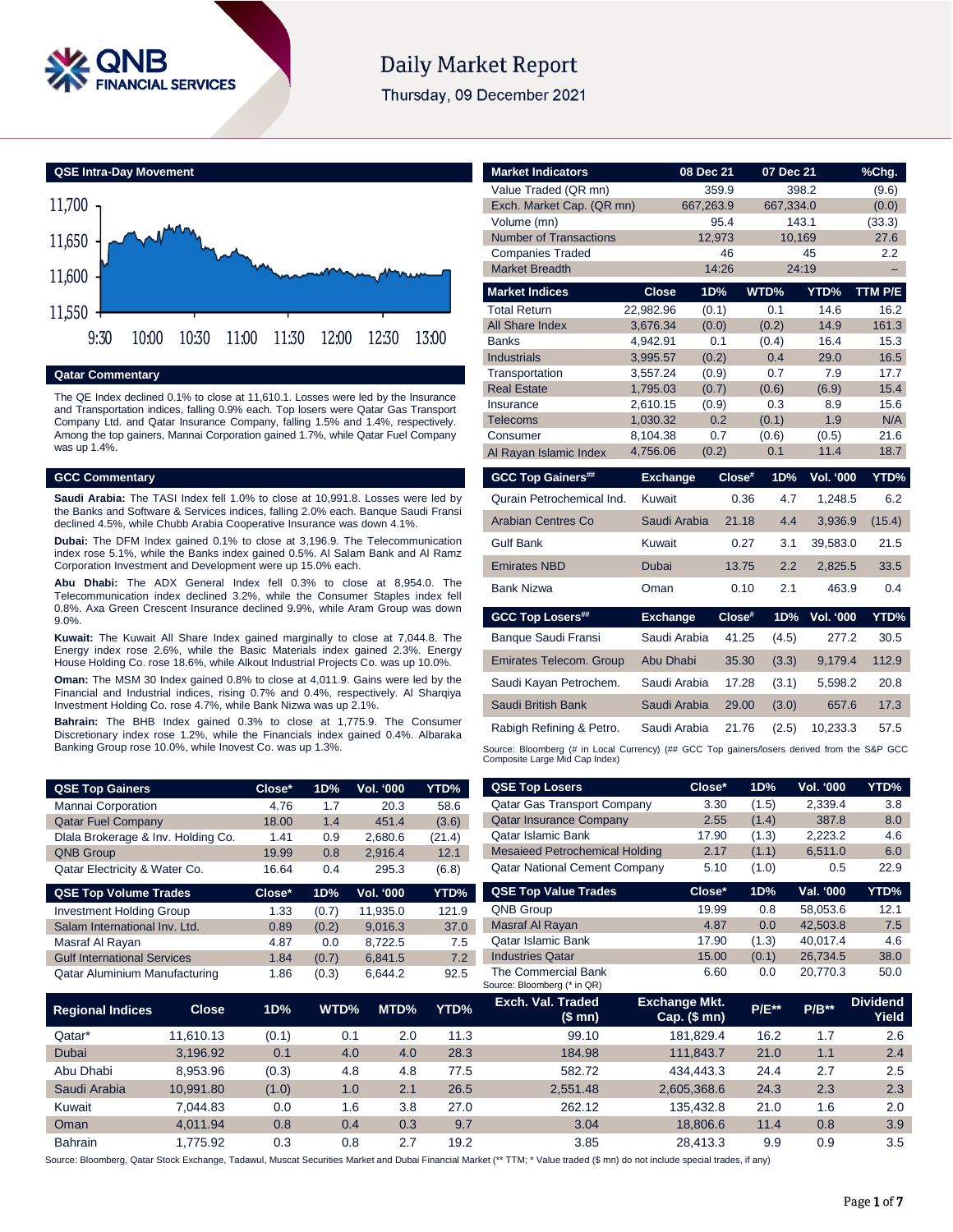

# **Daily Market Report**

Thursday, 09 December 2021



#### **Qatar Commentary**

The QE Index declined 0.1% to close at 11,610.1. Losses were led by the Insurance and Transportation indices, falling 0.9% each. Top losers were Qatar Gas Transport Company Ltd. and Qatar Insurance Company, falling 1.5% and 1.4%, respectively. Among the top gainers, Mannai Corporation gained 1.7%, while Qatar Fuel Company was up 1.4%.

#### **GCC Commentary**

**Saudi Arabia:** The TASI Index fell 1.0% to close at 10,991.8. Losses were led by the Banks and Software & Services indices, falling 2.0% each. Banque Saudi Fransi declined 4.5%, while Chubb Arabia Cooperative Insurance was down 4.1%.

**Dubai:** The DFM Index gained 0.1% to close at 3,196.9. The Telecommunication index rose 5.1%, while the Banks index gained 0.5%. Al Salam Bank and Al Ramz Corporation Investment and Development were up 15.0% each.

**Abu Dhabi:** The ADX General Index fell 0.3% to close at 8,954.0. The Telecommunication index declined 3.2%, while the Consumer Staples index fell 0.8%. Axa Green Crescent Insurance declined 9.9%, while Aram Group was down 9.0%.

**Kuwait:** The Kuwait All Share Index gained marginally to close at 7,044.8. The Energy index rose 2.6%, while the Basic Materials index gained 2.3%. Energy House Holding Co. rose 18.6%, while Alkout Industrial Projects Co. was up 10.0%.

**Oman:** The MSM 30 Index gained 0.8% to close at 4,011.9. Gains were led by the Financial and Industrial indices, rising 0.7% and 0.4%, respectively. Al Sharqiya Investment Holding Co. rose 4.7%, while Bank Nizwa was up 2.1%.

**Bahrain:** The BHB Index gained 0.3% to close at 1,775.9. The Consumer Discretionary index rose 1.2%, while the Financials index gained 0.4%. Albaraka Banking Group rose 10.0%, while Inovest Co. was up 1.3%.

| <b>QSE Top Gainers</b>             | Close* | 1D% | <b>Vol. '000</b> | YTD%   |
|------------------------------------|--------|-----|------------------|--------|
| Mannai Corporation                 | 4.76   | 17  | 20.3             | 58.6   |
| <b>Qatar Fuel Company</b>          | 18.00  | 1.4 | 451.4            | (3.6)  |
| Dlala Brokerage & Inv. Holding Co. | 1.41   | 0.9 | 2,680.6          | (21.4) |
| <b>QNB Group</b>                   | 19.99  | 0.8 | 2.916.4          | 12.1   |
| Qatar Electricity & Water Co.      | 16.64  | 0.4 | 295.3            | (6.8)  |

| <b>QSE Top Volume Trades</b>       | $Close*$ | 1D%   | <b>Vol. '000</b> | YTD%  |
|------------------------------------|----------|-------|------------------|-------|
| <b>Investment Holding Group</b>    | 1.33     | (0.7) | 11,935.0         | 121.9 |
| Salam International Inv. Ltd.      | 0.89     | (0.2) | 9.016.3          | 37.0  |
| Masraf Al Rayan                    | 4.87     | 0.0   | 8,722.5          | 7.5   |
| <b>Gulf International Services</b> | 1.84     | (0.7) | 6,841.5          | 7.2   |
| Qatar Aluminium Manufacturing      | 1.86     | (0.3) | 6.644.2          | 92.5  |

| <b>Market Indicators</b>                                                                    |                      | 08 Dec 21    |        | 07 Dec 21    |                  | %Chg.       |
|---------------------------------------------------------------------------------------------|----------------------|--------------|--------|--------------|------------------|-------------|
| Value Traded (QR mn)                                                                        |                      | 359.9        |        |              | 398.2            | (9.6)       |
| Exch. Market Cap. (QR mn)                                                                   |                      | 667,263.9    |        | 667,334.0    |                  | (0.0)       |
| Volume (mn)                                                                                 |                      | 95.4         |        |              | 143.1            | (33.3)      |
| <b>Number of Transactions</b>                                                               |                      | 12,973       |        | 10,169       |                  | 27.6        |
| <b>Companies Traded</b>                                                                     |                      |              | 46     |              | 45               | 2.2         |
| <b>Market Breadth</b>                                                                       |                      | 14:26        |        |              | 24:19            | -           |
| <b>Market Indices</b>                                                                       | <b>Close</b>         | 1D%          |        | WTD%         | YTD%             | TTM P/E     |
| <b>Total Return</b>                                                                         | 22,982.96            | (0.1)        |        | 0.1          | 14.6             | 16.2        |
| All Share Index                                                                             | 3,676.34             | (0.0)        |        | (0.2)        | 14.9             | 161.3       |
| <b>Banks</b>                                                                                | 4,942.91             | 0.1          |        | (0.4)        | 16.4             | 15.3        |
| <b>Industrials</b>                                                                          | 3,995.57             | (0.2)        |        | 0.4          | 29.0             | 16.5        |
| Transportation                                                                              | 3,557.24             | (0.9)        |        | 0.7          | 7.9              | 17.7        |
| <b>Real Estate</b>                                                                          | 1,795.03             | (0.7)        |        | (0.6)        | (6.9)            | 15.4        |
| Insurance                                                                                   | 2,610.15             | (0.9)<br>0.2 |        | 0.3          | 8.9              | 15.6        |
| <b>Telecoms</b><br>Consumer                                                                 | 1,030.32             | 0.7          |        | (0.1)        | 1.9              | N/A<br>21.6 |
|                                                                                             | 8,104.38<br>4,756.06 | (0.2)        |        | (0.6)<br>0.1 | (0.5)<br>11.4    | 18.7        |
| Al Rayan Islamic Index                                                                      |                      |              |        |              |                  |             |
| <b>GCC Top Gainers##</b>                                                                    | <b>Exchange</b>      |              | Close# | 1D%          | Vol. '000        | YTD%        |
| Qurain Petrochemical Ind.                                                                   | Kuwait               |              | 0.36   | 4.7          | 1,248.5          | 6.2         |
| <b>Arabian Centres Co</b>                                                                   | Saudi Arabia         |              | 21.18  | 4.4          | 3,936.9          | (15.4)      |
| <b>Gulf Bank</b>                                                                            | Kuwait               |              | 0.27   | 3.1          | 39,583.0         | 21.5        |
| <b>Emirates NBD</b>                                                                         | <b>Dubai</b>         |              | 13.75  | 2.2          | 2,825.5          | 33.5        |
| <b>Bank Nizwa</b>                                                                           | Oman                 |              | 0.10   | 2.1          | 463.9            | 0.4         |
| <b>GCC Top Losers##</b>                                                                     | <b>Exchange</b>      |              | Close# | 1D%          | <b>Vol. '000</b> | YTD%        |
| Banque Saudi Fransi                                                                         | Saudi Arabia         |              | 41.25  | (4.5)        | 277.2            | 30.5        |
| <b>Emirates Telecom. Group</b>                                                              | Abu Dhabi            |              | 35.30  | (3.3)        | 9,179.4          | 112.9       |
| Saudi Kayan Petrochem.                                                                      | Saudi Arabia         |              | 17.28  | (3.1)        | 5,598.2          | 20.8        |
| Saudi British Bank                                                                          | Saudi Arabia         |              | 29.00  | (3.0)        | 657.6            | 17.3        |
| Rabigh Refining & Petro.                                                                    | Saudi Arabia         |              | 21.76  | (2.5)        | 10,233.3         | 57.5        |
| Source: Bloomberg (# in Local Currency) (## GCC Top gainers/losers derived from the S&P GCC |                      |              |        |              |                  |             |

Composite Large Mid Cap Index)

| <b>QSE Top Gainers</b>             |              | Close* | 1D%   | Vol. '000 | YTD%   | <b>QSE Top Losers</b>                              | Close*                               | 1D%        | Vol. '000 | YTD%                     |
|------------------------------------|--------------|--------|-------|-----------|--------|----------------------------------------------------|--------------------------------------|------------|-----------|--------------------------|
| Mannai Corporation                 |              | 4.76   | 1.7   | 20.3      | 58.6   | Qatar Gas Transport Company                        | 3.30                                 | (1.5)      | 2,339.4   | 3.8                      |
| <b>Qatar Fuel Company</b>          |              | 18.00  | 1.4   | 451.4     | (3.6)  | <b>Qatar Insurance Company</b>                     | 2.55                                 | (1.4)      | 387.8     | 8.0                      |
| Dlala Brokerage & Inv. Holding Co. |              | 1.41   | 0.9   | 2,680.6   | (21.4) | Qatar Islamic Bank                                 | 17.90                                | (1.3)      | 2,223.2   | 4.6                      |
| <b>QNB Group</b>                   |              | 19.99  | 0.8   | 2,916.4   | 12.1   | <b>Mesaieed Petrochemical Holding</b>              | 2.17                                 | (1.1)      | 6,511.0   | 6.0                      |
| Qatar Electricity & Water Co.      |              | 16.64  | 0.4   | 295.3     | (6.8)  | <b>Qatar National Cement Company</b>               | 5.10                                 | (1.0)      | 0.5       | 22.9                     |
| <b>QSE Top Volume Trades</b>       |              | Close* | 1D%   | Vol. '000 | YTD%   | <b>QSE Top Value Trades</b>                        | Close*                               | 1D%        | Val. '000 | YTD%                     |
| <b>Investment Holding Group</b>    |              | 1.33   | (0.7) | 11,935.0  | 121.9  | QNB Group                                          | 19.99                                | 0.8        | 58,053.6  | 12.1                     |
| Salam International Inv. Ltd.      |              | 0.89   | (0.2) | 9,016.3   | 37.0   | Masraf Al Rayan                                    | 4.87                                 | 0.0        | 42,503.8  | 7.5                      |
| Masraf Al Rayan                    |              | 4.87   | 0.0   | 8,722.5   | 7.5    | <b>Qatar Islamic Bank</b>                          | 17.90                                | (1.3)      | 40,017.4  | 4.6                      |
| <b>Gulf International Services</b> |              | 1.84   | (0.7) | 6,841.5   | 7.2    | <b>Industries Qatar</b>                            | 15.00                                | (0.1)      | 26,734.5  | 38.0                     |
| Qatar Aluminium Manufacturing      |              | 1.86   | (0.3) | 6,644.2   | 92.5   | The Commercial Bank<br>Source: Bloomberg (* in QR) | 6.60                                 | 0.0        | 20,770.3  | 50.0                     |
| Regional Indices                   | <b>Close</b> | 1D%    | WTD%  | MTD%      | YTD%   | Exch. Val. Traded<br>(\$ mn)                       | <b>Exchange Mkt.</b><br>Cap. $($mn)$ | $P/E^{**}$ | $P/B***$  | <b>Dividend</b><br>Yield |
| Qatar*                             | 11,610.13    | (0.1)  | 0.1   | 2.0       | 11.3   | 99.10                                              | 181,829.4                            | 16.2       | 1.7       | 2.6                      |
| <b>Dubai</b>                       | 3,196.92     | 0.1    | 4.0   | 4.0       | 28.3   | 184.98                                             | 111,843.7                            | 21.0       | 1.1       | 2.4                      |
| Abu Dhabi                          | 8,953.96     | (0.3)  | 4.8   | 4.8       | 77.5   | 582.72                                             | 434,443.3                            | 24.4       | 2.7       | 2.5                      |
| Saudi Arabia                       | 10,991.80    | (1.0)  | 1.0   | 2.1       | 26.5   | 2,551.48                                           | 2,605,368.6                          | 24.3       | 2.3       | 2.3                      |
| Kuwait                             | 7,044.83     | 0.0    | 1.6   | 3.8       | 27.0   | 262.12                                             | 135,432.8                            | 21.0       | 1.6       | 2.0                      |
| Oman                               | 4,011.94     | 0.8    | 0.4   | 0.3       | 9.7    | 3.04                                               | 18,806.6                             | 11.4       | 0.8       | 3.9                      |
| Bahrain                            | 1,775.92     | 0.3    | 0.8   | 2.7       | 19.2   | 3.85                                               | 28,413.3                             | 9.9        | 0.9       | 3.5                      |

Source: Bloomberg, Qatar Stock Exchange, Tadawul, Muscat Securities Market and Dubai Financial Market (\*\* TTM; \* Value traded (\$ mn) do not include special trades, if any)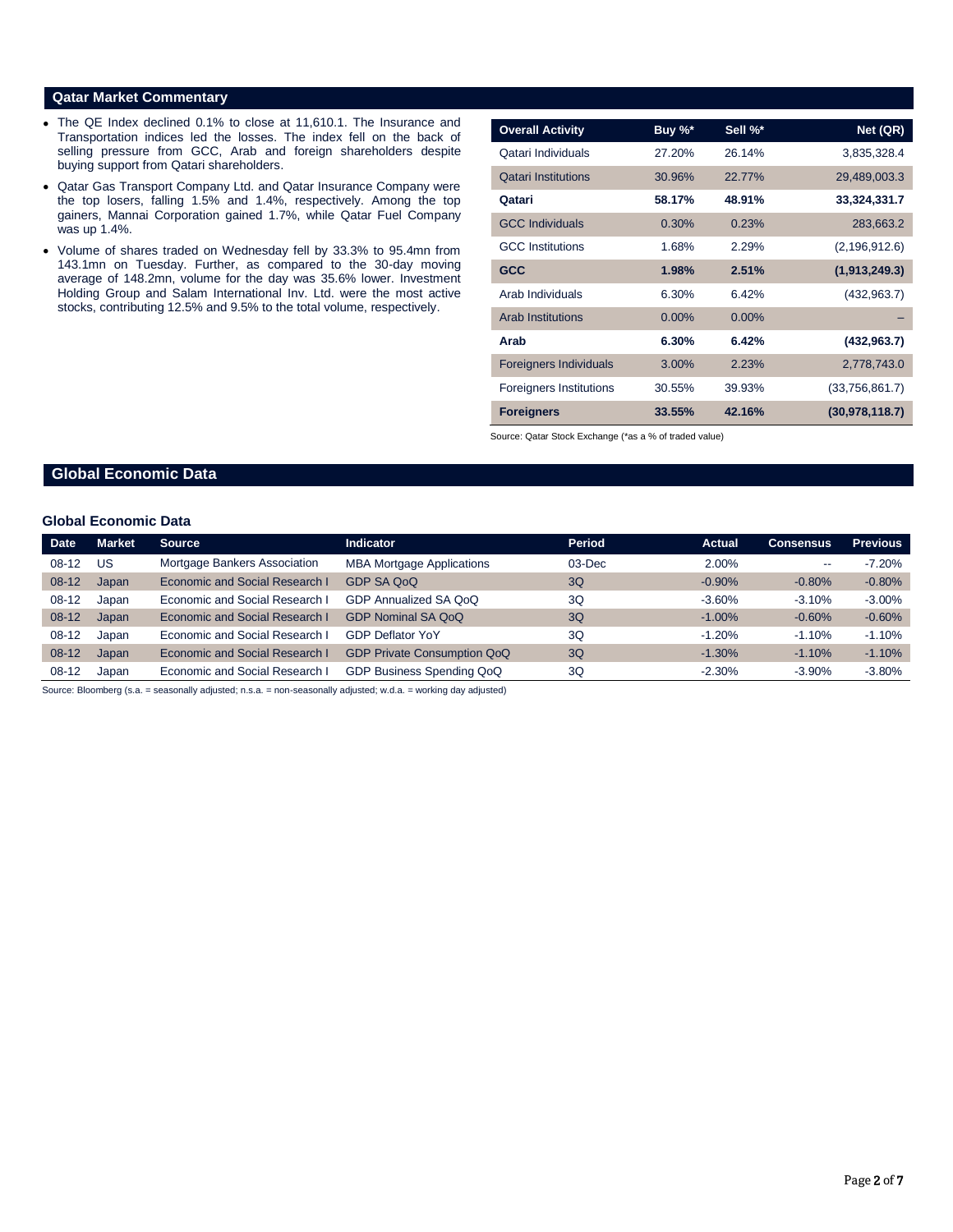#### **Qatar Market Commentary**

- The QE Index declined 0.1% to close at 11,610.1. The Insurance and Transportation indices led the losses. The index fell on the back of selling pressure from GCC, Arab and foreign shareholders despite buying support from Qatari shareholders.
- Qatar Gas Transport Company Ltd. and Qatar Insurance Company were the top losers, falling 1.5% and 1.4%, respectively. Among the top gainers, Mannai Corporation gained 1.7%, while Qatar Fuel Company was up 1.4%.
- Volume of shares traded on Wednesday fell by 33.3% to 95.4mn from 143.1mn on Tuesday. Further, as compared to the 30-day moving average of 148.2mn, volume for the day was 35.6% lower. Investment Holding Group and Salam International Inv. Ltd. were the most active stocks, contributing 12.5% and 9.5% to the total volume, respectively.

| <b>Overall Activity</b>        | Buy %*   | Sell %*  | Net (QR)         |
|--------------------------------|----------|----------|------------------|
| Qatari Individuals             | 27.20%   | 26.14%   | 3,835,328.4      |
| <b>Qatari Institutions</b>     | 30.96%   | 22.77%   | 29,489,003.3     |
| Qatari                         | 58.17%   | 48.91%   | 33,324,331.7     |
| <b>GCC Individuals</b>         | 0.30%    | 0.23%    | 283,663.2        |
| <b>GCC</b> Institutions        | 1.68%    | 2.29%    | (2, 196, 912.6)  |
| <b>GCC</b>                     | 1.98%    | 2.51%    | (1,913,249.3)    |
| Arab Individuals               | 6.30%    | 6.42%    | (432, 963.7)     |
| <b>Arab Institutions</b>       | $0.00\%$ | $0.00\%$ |                  |
| Arab                           | 6.30%    | 6.42%    | (432, 963.7)     |
| <b>Foreigners Individuals</b>  | $3.00\%$ | 2.23%    | 2,778,743.0      |
| <b>Foreigners Institutions</b> | 30.55%   | 39.93%   | (33,756,861.7)   |
| <b>Foreigners</b>              | 33.55%   | 42.16%   | (30, 978, 118.7) |

Source: Qatar Stock Exchange (\*as a % of traded value)

# **Global Economic Data**

# **Global Economic Data**

| <b>Date</b> | <b>Market</b> | <b>Source</b>                  | <b>Indicator</b>                   | Period | <b>Actual</b> | <b>Consensus</b>         | <b>Previous</b> |
|-------------|---------------|--------------------------------|------------------------------------|--------|---------------|--------------------------|-----------------|
| $08-12$     | US            | Mortgage Bankers Association   | <b>MBA Mortgage Applications</b>   | 03-Dec | 2.00%         | $\overline{\phantom{m}}$ | $-7.20%$        |
| $08 - 12$   | Japan         | Economic and Social Research I | GDP SA QoQ                         | 3Q     | $-0.90\%$     | $-0.80%$                 | $-0.80%$        |
| $08-12$     | Japan         | Economic and Social Research I | GDP Annualized SA QoQ              | 3Q     | $-3.60%$      | $-3.10%$                 | $-3.00\%$       |
| $08 - 12$   | Japan         | Economic and Social Research I | <b>GDP Nominal SA QoQ</b>          | 3Q     | $-1.00\%$     | $-0.60%$                 | $-0.60%$        |
| $08-12$     | Japan         | Economic and Social Research I | <b>GDP Deflator YoY</b>            | 3Q     | $-1.20%$      | $-1.10%$                 | $-1.10%$        |
| $08-12$     | Japan         | Economic and Social Research I | <b>GDP Private Consumption QoQ</b> | 3Q     | $-1.30\%$     | $-1.10%$                 | $-1.10%$        |
| $08-12$     | Japan         | Economic and Social Research I | GDP Business Spending QoQ          | 3Q     | $-2.30%$      | $-3.90%$                 | $-3.80\%$       |

Source: Bloomberg (s.a. = seasonally adjusted; n.s.a. = non-seasonally adjusted; w.d.a. = working day adjusted)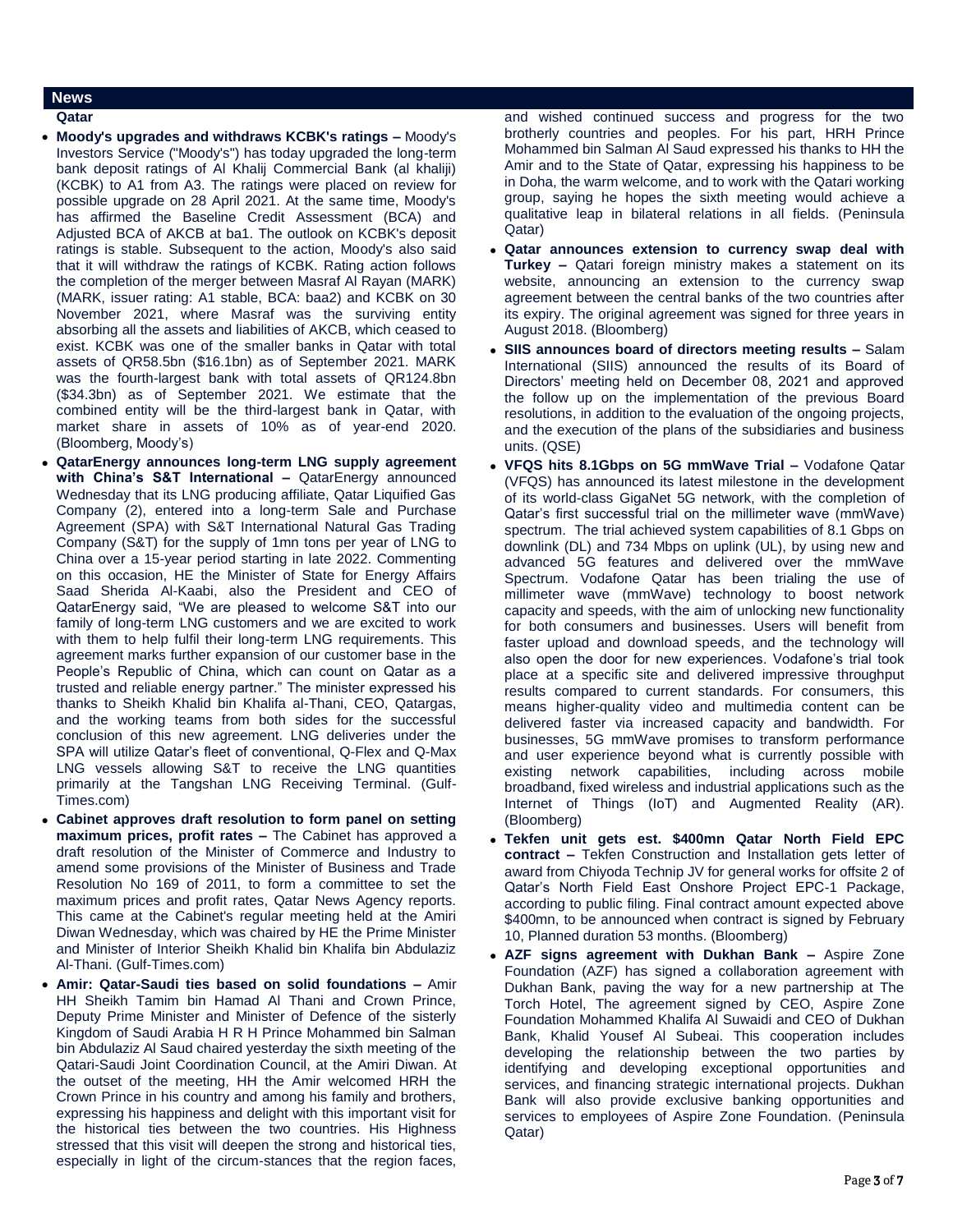# **News**

- **Qatar**
- **Moody's upgrades and withdraws KCBK's ratings –** Moody's Investors Service ("Moody's") has today upgraded the long-term bank deposit ratings of Al Khalij Commercial Bank (al khaliji) (KCBK) to A1 from A3. The ratings were placed on review for possible upgrade on 28 April 2021. At the same time, Moody's has affirmed the Baseline Credit Assessment (BCA) and Adjusted BCA of AKCB at ba1. The outlook on KCBK's deposit ratings is stable. Subsequent to the action, Moody's also said that it will withdraw the ratings of KCBK. Rating action follows the completion of the merger between Masraf Al Rayan (MARK) (MARK, issuer rating: A1 stable, BCA: baa2) and KCBK on 30 November 2021, where Masraf was the surviving entity absorbing all the assets and liabilities of AKCB, which ceased to exist. KCBK was one of the smaller banks in Qatar with total assets of QR58.5bn (\$16.1bn) as of September 2021. MARK was the fourth-largest bank with total assets of QR124.8bn (\$34.3bn) as of September 2021. We estimate that the combined entity will be the third-largest bank in Qatar, with market share in assets of 10% as of year-end 2020. (Bloomberg, Moody's)
- **QatarEnergy announces long-term LNG supply agreement with China's S&T International –** QatarEnergy announced Wednesday that its LNG producing affiliate, Qatar Liquified Gas Company (2), entered into a long-term Sale and Purchase Agreement (SPA) with S&T International Natural Gas Trading Company (S&T) for the supply of 1mn tons per year of LNG to China over a 15-year period starting in late 2022. Commenting on this occasion, HE the Minister of State for Energy Affairs Saad Sherida Al-Kaabi, also the President and CEO of QatarEnergy said, "We are pleased to welcome S&T into our family of long-term LNG customers and we are excited to work with them to help fulfil their long-term LNG requirements. This agreement marks further expansion of our customer base in the People's Republic of China, which can count on Qatar as a trusted and reliable energy partner." The minister expressed his thanks to Sheikh Khalid bin Khalifa al-Thani, CEO, Qatargas, and the working teams from both sides for the successful conclusion of this new agreement. LNG deliveries under the SPA will utilize Qatar's fleet of conventional, Q-Flex and Q-Max LNG vessels allowing S&T to receive the LNG quantities primarily at the Tangshan LNG Receiving Terminal. (Gulf-Times.com)
- **Cabinet approves draft resolution to form panel on setting maximum prices, profit rates –** The Cabinet has approved a draft resolution of the Minister of Commerce and Industry to amend some provisions of the Minister of Business and Trade Resolution No 169 of 2011, to form a committee to set the maximum prices and profit rates, Qatar News Agency reports. This came at the Cabinet's regular meeting held at the Amiri Diwan Wednesday, which was chaired by HE the Prime Minister and Minister of Interior Sheikh Khalid bin Khalifa bin Abdulaziz Al-Thani. (Gulf-Times.com)
- **Amir: Qatar-Saudi ties based on solid foundations –** Amir HH Sheikh Tamim bin Hamad Al Thani and Crown Prince, Deputy Prime Minister and Minister of Defence of the sisterly Kingdom of Saudi Arabia H R H Prince Mohammed bin Salman bin Abdulaziz Al Saud chaired yesterday the sixth meeting of the Qatari-Saudi Joint Coordination Council, at the Amiri Diwan. At the outset of the meeting, HH the Amir welcomed HRH the Crown Prince in his country and among his family and brothers, expressing his happiness and delight with this important visit for the historical ties between the two countries. His Highness stressed that this visit will deepen the strong and historical ties, especially in light of the circum-stances that the region faces,

and wished continued success and progress for the two brotherly countries and peoples. For his part, HRH Prince Mohammed bin Salman Al Saud expressed his thanks to HH the Amir and to the State of Qatar, expressing his happiness to be in Doha, the warm welcome, and to work with the Qatari working group, saying he hopes the sixth meeting would achieve a qualitative leap in bilateral relations in all fields. (Peninsula Qatar)

- **Qatar announces extension to currency swap deal with Turkey –** Qatari foreign ministry makes a statement on its website, announcing an extension to the currency swap agreement between the central banks of the two countries after its expiry. The original agreement was signed for three years in August 2018. (Bloomberg)
- **SIIS announces board of directors meeting results –** Salam International (SIIS) announced the results of its Board of Directors' meeting held on December 08, 2021 and approved the follow up on the implementation of the previous Board resolutions, in addition to the evaluation of the ongoing projects, and the execution of the plans of the subsidiaries and business units. (QSE)
- **VFQS hits 8.1Gbps on 5G mmWave Trial –** Vodafone Qatar (VFQS) has announced its latest milestone in the development of its world-class GigaNet 5G network, with the completion of Qatar's first successful trial on the millimeter wave (mmWave) spectrum. The trial achieved system capabilities of 8.1 Gbps on downlink (DL) and 734 Mbps on uplink (UL), by using new and advanced 5G features and delivered over the mmWave Spectrum. Vodafone Qatar has been trialing the use of millimeter wave (mmWave) technology to boost network capacity and speeds, with the aim of unlocking new functionality for both consumers and businesses. Users will benefit from faster upload and download speeds, and the technology will also open the door for new experiences. Vodafone's trial took place at a specific site and delivered impressive throughput results compared to current standards. For consumers, this means higher-quality video and multimedia content can be delivered faster via increased capacity and bandwidth. For businesses, 5G mmWave promises to transform performance and user experience beyond what is currently possible with existing network capabilities, including across mobile broadband, fixed wireless and industrial applications such as the Internet of Things (IoT) and Augmented Reality (AR). (Bloomberg)
- **Tekfen unit gets est. \$400mn Qatar North Field EPC contract –** Tekfen Construction and Installation gets letter of award from Chiyoda Technip JV for general works for offsite 2 of Qatar's North Field East Onshore Project EPC-1 Package, according to public filing. Final contract amount expected above \$400mn, to be announced when contract is signed by February 10, Planned duration 53 months. (Bloomberg)
- **AZF signs agreement with Dukhan Bank –** Aspire Zone Foundation (AZF) has signed a collaboration agreement with Dukhan Bank, paving the way for a new partnership at The Torch Hotel, The agreement signed by CEO, Aspire Zone Foundation Mohammed Khalifa Al Suwaidi and CEO of Dukhan Bank, Khalid Yousef Al Subeai. This cooperation includes developing the relationship between the two parties by identifying and developing exceptional opportunities and services, and financing strategic international projects. Dukhan Bank will also provide exclusive banking opportunities and services to employees of Aspire Zone Foundation. (Peninsula Qatar)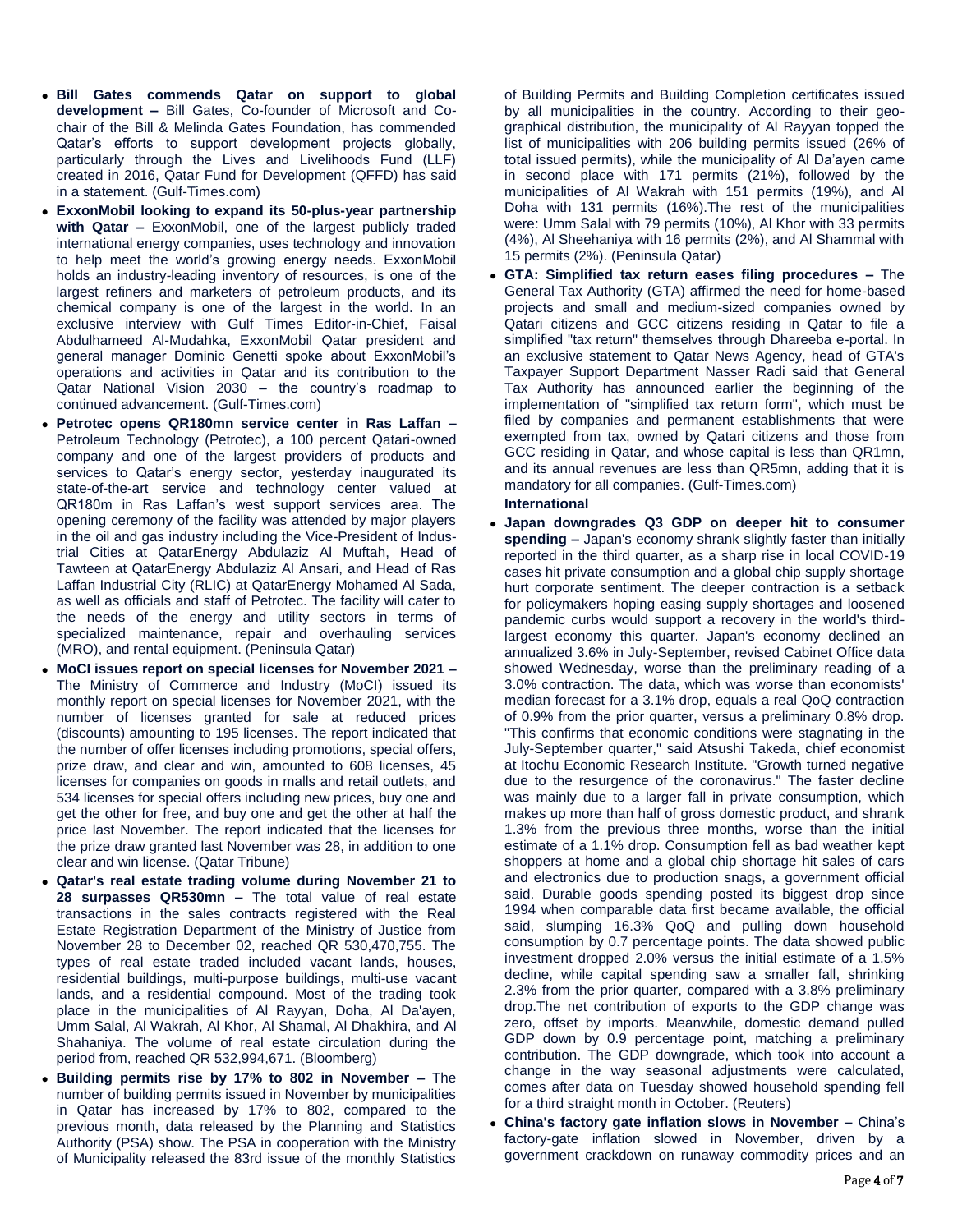- **Bill Gates commends Qatar on support to global development –** Bill Gates, Co-founder of Microsoft and Cochair of the Bill & Melinda Gates Foundation, has commended Qatar's efforts to support development projects globally, particularly through the Lives and Livelihoods Fund (LLF) created in 2016, Qatar Fund for Development (QFFD) has said in a statement. (Gulf-Times.com)
- **ExxonMobil looking to expand its 50-plus-year partnership with Qatar –** ExxonMobil, one of the largest publicly traded international energy companies, uses technology and innovation to help meet the world's growing energy needs. ExxonMobil holds an industry-leading inventory of resources, is one of the largest refiners and marketers of petroleum products, and its chemical company is one of the largest in the world. In an exclusive interview with Gulf Times Editor-in-Chief, Faisal Abdulhameed Al-Mudahka, ExxonMobil Qatar president and general manager Dominic Genetti spoke about ExxonMobil's operations and activities in Qatar and its contribution to the Qatar National Vision 2030 – the country's roadmap to continued advancement. (Gulf-Times.com)
- **Petrotec opens QR180mn service center in Ras Laffan –** Petroleum Technology (Petrotec), a 100 percent Qatari-owned company and one of the largest providers of products and services to Qatar's energy sector, yesterday inaugurated its state-of-the-art service and technology center valued at QR180m in Ras Laffan's west support services area. The opening ceremony of the facility was attended by major players in the oil and gas industry including the Vice-President of Industrial Cities at QatarEnergy Abdulaziz Al Muftah, Head of Tawteen at QatarEnergy Abdulaziz Al Ansari, and Head of Ras Laffan Industrial City (RLIC) at QatarEnergy Mohamed Al Sada, as well as officials and staff of Petrotec. The facility will cater to the needs of the energy and utility sectors in terms of specialized maintenance, repair and overhauling services (MRO), and rental equipment. (Peninsula Qatar)
- **MoCI issues report on special licenses for November 2021 –** The Ministry of Commerce and Industry (MoCI) issued its monthly report on special licenses for November 2021, with the number of licenses granted for sale at reduced prices (discounts) amounting to 195 licenses. The report indicated that the number of offer licenses including promotions, special offers, prize draw, and clear and win, amounted to 608 licenses, 45 licenses for companies on goods in malls and retail outlets, and 534 licenses for special offers including new prices, buy one and get the other for free, and buy one and get the other at half the price last November. The report indicated that the licenses for the prize draw granted last November was 28, in addition to one clear and win license. (Qatar Tribune)
- **Qatar's real estate trading volume during November 21 to 28 surpasses QR530mn –** The total value of real estate transactions in the sales contracts registered with the Real Estate Registration Department of the Ministry of Justice from November 28 to December 02, reached QR 530,470,755. The types of real estate traded included vacant lands, houses, residential buildings, multi-purpose buildings, multi-use vacant lands, and a residential compound. Most of the trading took place in the municipalities of Al Rayyan, Doha, Al Da'ayen, Umm Salal, Al Wakrah, Al Khor, Al Shamal, Al Dhakhira, and Al Shahaniya. The volume of real estate circulation during the period from, reached QR 532,994,671. (Bloomberg)
- **Building permits rise by 17% to 802 in November –** The number of building permits issued in November by municipalities in Qatar has increased by 17% to 802, compared to the previous month, data released by the Planning and Statistics Authority (PSA) show. The PSA in cooperation with the Ministry of Municipality released the 83rd issue of the monthly Statistics

of Building Permits and Building Completion certificates issued by all municipalities in the country. According to their geographical distribution, the municipality of Al Rayyan topped the list of municipalities with 206 building permits issued (26% of total issued permits), while the municipality of Al Da'ayen came in second place with 171 permits (21%), followed by the municipalities of Al Wakrah with 151 permits (19%), and Al Doha with 131 permits (16%).The rest of the municipalities were: Umm Salal with 79 permits (10%), Al Khor with 33 permits (4%), Al Sheehaniya with 16 permits (2%), and Al Shammal with 15 permits (2%). (Peninsula Qatar)

 **GTA: Simplified tax return eases filing procedures –** The General Tax Authority (GTA) affirmed the need for home-based projects and small and medium-sized companies owned by Qatari citizens and GCC citizens residing in Qatar to file a simplified "tax return" themselves through Dhareeba e-portal. In an exclusive statement to Qatar News Agency, head of GTA's Taxpayer Support Department Nasser Radi said that General Tax Authority has announced earlier the beginning of the implementation of "simplified tax return form", which must be filed by companies and permanent establishments that were exempted from tax, owned by Qatari citizens and those from GCC residing in Qatar, and whose capital is less than QR1mn, and its annual revenues are less than QR5mn, adding that it is mandatory for all companies. (Gulf-Times.com)

#### **International**

- **Japan downgrades Q3 GDP on deeper hit to consumer spending –** Japan's economy shrank slightly faster than initially reported in the third quarter, as a sharp rise in local COVID-19 cases hit private consumption and a global chip supply shortage hurt corporate sentiment. The deeper contraction is a setback for policymakers hoping easing supply shortages and loosened pandemic curbs would support a recovery in the world's thirdlargest economy this quarter. Japan's economy declined an annualized 3.6% in July-September, revised Cabinet Office data showed Wednesday, worse than the preliminary reading of a 3.0% contraction. The data, which was worse than economists' median forecast for a 3.1% drop, equals a real QoQ contraction of 0.9% from the prior quarter, versus a preliminary 0.8% drop. "This confirms that economic conditions were stagnating in the July-September quarter," said Atsushi Takeda, chief economist at Itochu Economic Research Institute. "Growth turned negative due to the resurgence of the coronavirus." The faster decline was mainly due to a larger fall in private consumption, which makes up more than half of gross domestic product, and shrank 1.3% from the previous three months, worse than the initial estimate of a 1.1% drop. Consumption fell as bad weather kept shoppers at home and a global chip shortage hit sales of cars and electronics due to production snags, a government official said. Durable goods spending posted its biggest drop since 1994 when comparable data first became available, the official said, slumping 16.3% QoQ and pulling down household consumption by 0.7 percentage points. The data showed public investment dropped 2.0% versus the initial estimate of a 1.5% decline, while capital spending saw a smaller fall, shrinking 2.3% from the prior quarter, compared with a 3.8% preliminary drop.The net contribution of exports to the GDP change was zero, offset by imports. Meanwhile, domestic demand pulled GDP down by 0.9 percentage point, matching a preliminary contribution. The GDP downgrade, which took into account a change in the way seasonal adjustments were calculated, comes after data on Tuesday showed household spending fell for a third straight month in October. (Reuters)
- **China's factory gate inflation slows in November –** China's factory-gate inflation slowed in November, driven by a government crackdown on runaway commodity prices and an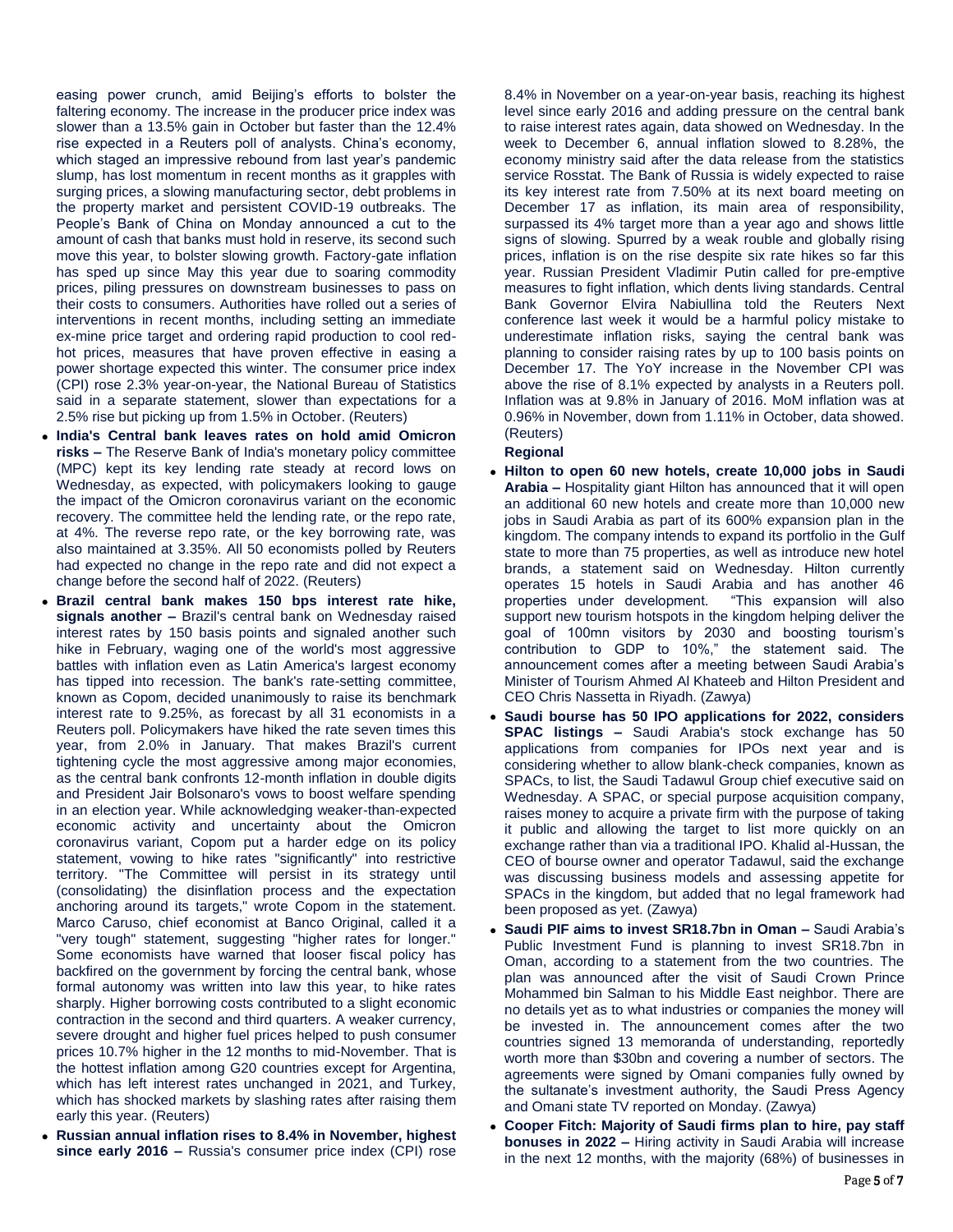easing power crunch, amid Beijing's efforts to bolster the faltering economy. The increase in the producer price index was slower than a 13.5% gain in October but faster than the 12.4% rise expected in a Reuters poll of analysts. China's economy, which staged an impressive rebound from last year's pandemic slump, has lost momentum in recent months as it grapples with surging prices, a slowing manufacturing sector, debt problems in the property market and persistent COVID-19 outbreaks. The People's Bank of China on Monday announced a cut to the amount of cash that banks must hold in reserve, its second such move this year, to bolster slowing growth. Factory-gate inflation has sped up since May this year due to soaring commodity prices, piling pressures on downstream businesses to pass on their costs to consumers. Authorities have rolled out a series of interventions in recent months, including setting an immediate ex-mine price target and ordering rapid production to cool redhot prices, measures that have proven effective in easing a power shortage expected this winter. The consumer price index (CPI) rose 2.3% year-on-year, the National Bureau of Statistics said in a separate statement, slower than expectations for a 2.5% rise but picking up from 1.5% in October. (Reuters)

- **India's Central bank leaves rates on hold amid Omicron risks –** The Reserve Bank of India's monetary policy committee (MPC) kept its key lending rate steady at record lows on Wednesday, as expected, with policymakers looking to gauge the impact of the Omicron coronavirus variant on the economic recovery. The committee held the lending rate, or the repo rate, at 4%. The reverse repo rate, or the key borrowing rate, was also maintained at 3.35%. All 50 economists polled by Reuters had expected no change in the repo rate and did not expect a change before the second half of 2022. (Reuters)
- **Brazil central bank makes 150 bps interest rate hike, signals another –** Brazil's central bank on Wednesday raised interest rates by 150 basis points and signaled another such hike in February, waging one of the world's most aggressive battles with inflation even as Latin America's largest economy has tipped into recession. The bank's rate-setting committee, known as Copom, decided unanimously to raise its benchmark interest rate to 9.25%, as forecast by all 31 economists in a Reuters poll. Policymakers have hiked the rate seven times this year, from 2.0% in January. That makes Brazil's current tightening cycle the most aggressive among major economies, as the central bank confronts 12-month inflation in double digits and President Jair Bolsonaro's vows to boost welfare spending in an election year. While acknowledging weaker-than-expected economic activity and uncertainty about the Omicron coronavirus variant, Copom put a harder edge on its policy statement, vowing to hike rates "significantly" into restrictive territory. "The Committee will persist in its strategy until (consolidating) the disinflation process and the expectation anchoring around its targets," wrote Copom in the statement. Marco Caruso, chief economist at Banco Original, called it a "very tough" statement, suggesting "higher rates for longer." Some economists have warned that looser fiscal policy has backfired on the government by forcing the central bank, whose formal autonomy was written into law this year, to hike rates sharply. Higher borrowing costs contributed to a slight economic contraction in the second and third quarters. A weaker currency, severe drought and higher fuel prices helped to push consumer prices 10.7% higher in the 12 months to mid-November. That is the hottest inflation among G20 countries except for Argentina, which has left interest rates unchanged in 2021, and Turkey, which has shocked markets by slashing rates after raising them early this year. (Reuters)
- **Russian annual inflation rises to 8.4% in November, highest since early 2016 –** Russia's consumer price index (CPI) rose

8.4% in November on a year-on-year basis, reaching its highest level since early 2016 and adding pressure on the central bank to raise interest rates again, data showed on Wednesday. In the week to December 6, annual inflation slowed to 8.28%, the economy ministry said after the data release from the statistics service Rosstat. The Bank of Russia is widely expected to raise its key interest rate from 7.50% at its next board meeting on December 17 as inflation, its main area of responsibility, surpassed its 4% target more than a year ago and shows little signs of slowing. Spurred by a weak rouble and globally rising prices, inflation is on the rise despite six rate hikes so far this year. Russian President Vladimir Putin called for pre-emptive measures to fight inflation, which dents living standards. Central Bank Governor Elvira Nabiullina told the Reuters Next conference last week it would be a harmful policy mistake to underestimate inflation risks, saying the central bank was planning to consider raising rates by up to 100 basis points on December 17. The YoY increase in the November CPI was above the rise of 8.1% expected by analysts in a Reuters poll. Inflation was at 9.8% in January of 2016. MoM inflation was at 0.96% in November, down from 1.11% in October, data showed. (Reuters)

# **Regional**

- **Hilton to open 60 new hotels, create 10,000 jobs in Saudi Arabia –** Hospitality giant Hilton has announced that it will open an additional 60 new hotels and create more than 10,000 new jobs in Saudi Arabia as part of its 600% expansion plan in the kingdom. The company intends to expand its portfolio in the Gulf state to more than 75 properties, as well as introduce new hotel brands, a statement said on Wednesday. Hilton currently operates 15 hotels in Saudi Arabia and has another 46 properties under development. "This expansion will also support new tourism hotspots in the kingdom helping deliver the goal of 100mn visitors by 2030 and boosting tourism's contribution to GDP to 10%," the statement said. The announcement comes after a meeting between Saudi Arabia's Minister of Tourism Ahmed Al Khateeb and Hilton President and CEO Chris Nassetta in Riyadh. (Zawya)
- **Saudi bourse has 50 IPO applications for 2022, considers SPAC listings –** Saudi Arabia's stock exchange has 50 applications from companies for IPOs next year and is considering whether to allow blank-check companies, known as SPACs, to list, the Saudi Tadawul Group chief executive said on Wednesday. A SPAC, or special purpose acquisition company, raises money to acquire a private firm with the purpose of taking it public and allowing the target to list more quickly on an exchange rather than via a traditional IPO. Khalid al-Hussan, the CEO of bourse owner and operator Tadawul, said the exchange was discussing business models and assessing appetite for SPACs in the kingdom, but added that no legal framework had been proposed as yet. (Zawya)
- **Saudi PIF aims to invest SR18.7bn in Oman –** Saudi Arabia's Public Investment Fund is planning to invest SR18.7bn in Oman, according to a statement from the two countries. The plan was announced after the visit of Saudi Crown Prince Mohammed bin Salman to his Middle East neighbor. There are no details yet as to what industries or companies the money will be invested in. The announcement comes after the two countries signed 13 memoranda of understanding, reportedly worth more than \$30bn and covering a number of sectors. The agreements were signed by Omani companies fully owned by the sultanate's investment authority, the Saudi Press Agency and Omani state TV reported on Monday. (Zawya)
- **Cooper Fitch: Majority of Saudi firms plan to hire, pay staff bonuses in 2022 –** Hiring activity in Saudi Arabia will increase in the next 12 months, with the majority (68%) of businesses in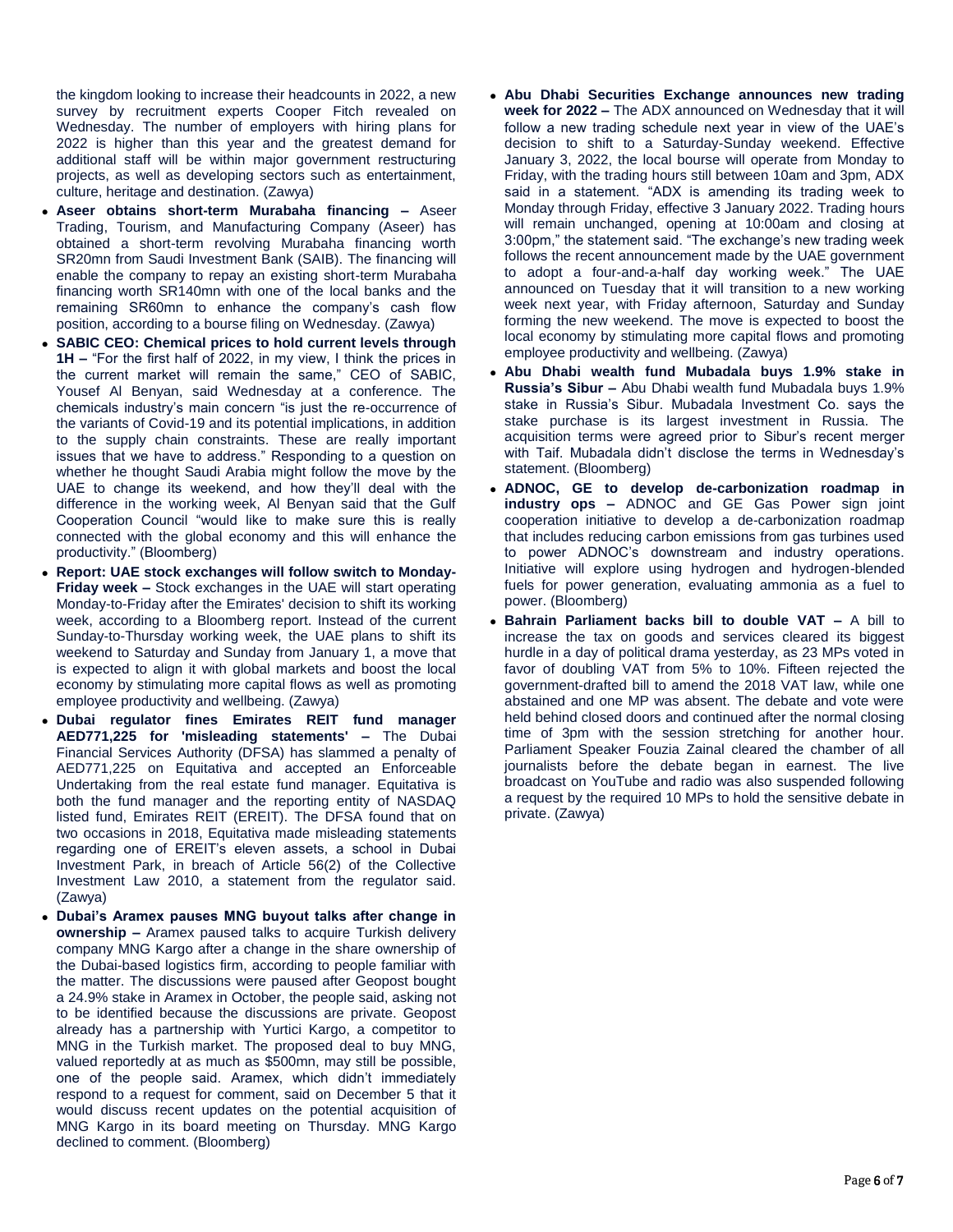the kingdom looking to increase their headcounts in 2022, a new survey by recruitment experts Cooper Fitch revealed on Wednesday. The number of employers with hiring plans for 2022 is higher than this year and the greatest demand for additional staff will be within major government restructuring projects, as well as developing sectors such as entertainment, culture, heritage and destination. (Zawya)

- **Aseer obtains short-term Murabaha financing –** Aseer Trading, Tourism, and Manufacturing Company (Aseer) has obtained a short-term revolving Murabaha financing worth SR20mn from Saudi Investment Bank (SAIB). The financing will enable the company to repay an existing short-term Murabaha financing worth SR140mn with one of the local banks and the remaining SR60mn to enhance the company's cash flow position, according to a bourse filing on Wednesday. (Zawya)
- **SABIC CEO: Chemical prices to hold current levels through 1H –** "For the first half of 2022, in my view, I think the prices in the current market will remain the same," CEO of SABIC, Yousef Al Benyan, said Wednesday at a conference. The chemicals industry's main concern "is just the re-occurrence of the variants of Covid-19 and its potential implications, in addition to the supply chain constraints. These are really important issues that we have to address." Responding to a question on whether he thought Saudi Arabia might follow the move by the UAE to change its weekend, and how they'll deal with the difference in the working week, Al Benyan said that the Gulf Cooperation Council "would like to make sure this is really connected with the global economy and this will enhance the productivity." (Bloomberg)
- **Report: UAE stock exchanges will follow switch to Monday-Friday week –** Stock exchanges in the UAE will start operating Monday-to-Friday after the Emirates' decision to shift its working week, according to a Bloomberg report. Instead of the current Sunday-to-Thursday working week, the UAE plans to shift its weekend to Saturday and Sunday from January 1, a move that is expected to align it with global markets and boost the local economy by stimulating more capital flows as well as promoting employee productivity and wellbeing. (Zawya)
- **Dubai regulator fines Emirates REIT fund manager AED771,225 for 'misleading statements' –** The Dubai Financial Services Authority (DFSA) has slammed a penalty of AED771,225 on Equitativa and accepted an Enforceable Undertaking from the real estate fund manager. Equitativa is both the fund manager and the reporting entity of NASDAQ listed fund, Emirates REIT (EREIT). The DFSA found that on two occasions in 2018, Equitativa made misleading statements regarding one of EREIT's eleven assets, a school in Dubai Investment Park, in breach of Article 56(2) of the Collective Investment Law 2010, a statement from the regulator said. (Zawya)
- **Dubai's Aramex pauses MNG buyout talks after change in ownership –** Aramex paused talks to acquire Turkish delivery company MNG Kargo after a change in the share ownership of the Dubai-based logistics firm, according to people familiar with the matter. The discussions were paused after Geopost bought a 24.9% stake in Aramex in October, the people said, asking not to be identified because the discussions are private. Geopost already has a partnership with Yurtici Kargo, a competitor to MNG in the Turkish market. The proposed deal to buy MNG, valued reportedly at as much as \$500mn, may still be possible, one of the people said. Aramex, which didn't immediately respond to a request for comment, said on December 5 that it would discuss recent updates on the potential acquisition of MNG Kargo in its board meeting on Thursday. MNG Kargo declined to comment. (Bloomberg)
- **Abu Dhabi Securities Exchange announces new trading week for 2022 –** The ADX announced on Wednesday that it will follow a new trading schedule next year in view of the UAE's decision to shift to a Saturday-Sunday weekend. Effective January 3, 2022, the local bourse will operate from Monday to Friday, with the trading hours still between 10am and 3pm, ADX said in a statement. "ADX is amending its trading week to Monday through Friday, effective 3 January 2022. Trading hours will remain unchanged, opening at 10:00am and closing at 3:00pm," the statement said. "The exchange's new trading week follows the recent announcement made by the UAE government to adopt a four-and-a-half day working week." The UAE announced on Tuesday that it will transition to a new working week next year, with Friday afternoon, Saturday and Sunday forming the new weekend. The move is expected to boost the local economy by stimulating more capital flows and promoting employee productivity and wellbeing. (Zawya)
- **Abu Dhabi wealth fund Mubadala buys 1.9% stake in Russia's Sibur –** Abu Dhabi wealth fund Mubadala buys 1.9% stake in Russia's Sibur. Mubadala Investment Co. says the stake purchase is its largest investment in Russia. The acquisition terms were agreed prior to Sibur's recent merger with Taif. Mubadala didn't disclose the terms in Wednesday's statement. (Bloomberg)
- **ADNOC, GE to develop de-carbonization roadmap in industry ops –** ADNOC and GE Gas Power sign joint cooperation initiative to develop a de-carbonization roadmap that includes reducing carbon emissions from gas turbines used to power ADNOC's downstream and industry operations. Initiative will explore using hydrogen and hydrogen-blended fuels for power generation, evaluating ammonia as a fuel to power. (Bloomberg)
- **Bahrain Parliament backs bill to double VAT –** A bill to increase the tax on goods and services cleared its biggest hurdle in a day of political drama yesterday, as 23 MPs voted in favor of doubling VAT from 5% to 10%. Fifteen rejected the government-drafted bill to amend the 2018 VAT law, while one abstained and one MP was absent. The debate and vote were held behind closed doors and continued after the normal closing time of 3pm with the session stretching for another hour. Parliament Speaker Fouzia Zainal cleared the chamber of all journalists before the debate began in earnest. The live broadcast on YouTube and radio was also suspended following a request by the required 10 MPs to hold the sensitive debate in private. (Zawya)